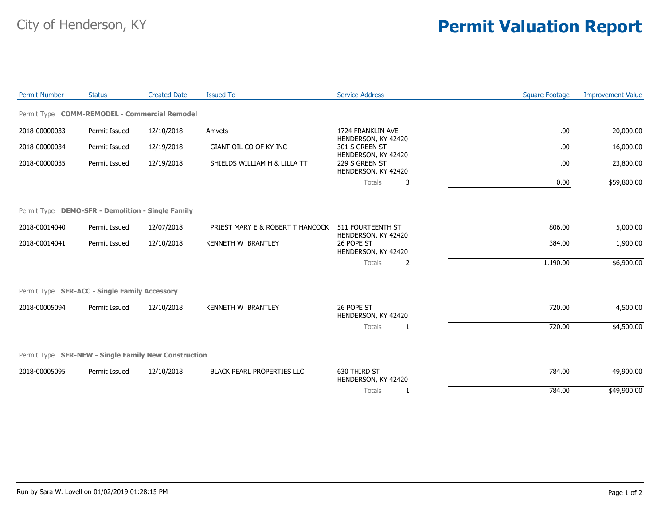## City of Henderson, KY **Permit Valuation Report**

| <b>Permit Number</b> | <b>Status</b>                                        | <b>Created Date</b> | <b>Issued To</b>                  | <b>Service Address</b>                                   | <b>Square Footage</b> | <b>Improvement Value</b> |
|----------------------|------------------------------------------------------|---------------------|-----------------------------------|----------------------------------------------------------|-----------------------|--------------------------|
|                      | Permit Type COMM-REMODEL - Commercial Remodel        |                     |                                   |                                                          |                       |                          |
| 2018-00000033        | Permit Issued                                        | 12/10/2018          | Amvets                            | 1724 FRANKLIN AVE<br>HENDERSON, KY 42420                 | .00.                  | 20,000.00                |
| 2018-00000034        | Permit Issued                                        | 12/19/2018          | GIANT OIL CO OF KY INC            | 301 S GREEN ST<br>HENDERSON, KY 42420                    | .00.                  | 16,000.00                |
| 2018-00000035        | Permit Issued                                        | 12/19/2018          | SHIELDS WILLIAM H & LILLA TT      | 229 S GREEN ST<br>HENDERSON, KY 42420                    | .00                   | 23,800.00                |
|                      |                                                      |                     |                                   | <b>Totals</b><br>3                                       | 0.00                  | \$59,800.00              |
|                      | Permit Type DEMO-SFR - Demolition - Single Family    |                     |                                   |                                                          |                       |                          |
| 2018-00014040        | Permit Issued                                        | 12/07/2018          | PRIEST MARY E & ROBERT T HANCOCK  | 511 FOURTEENTH ST                                        | 806.00                | 5,000.00                 |
| 2018-00014041        | Permit Issued                                        | 12/10/2018          | KENNETH W BRANTLEY                | HENDERSON, KY 42420<br>26 POPE ST<br>HENDERSON, KY 42420 | 384.00                | 1,900.00                 |
|                      |                                                      |                     |                                   | <b>Totals</b><br>2                                       | 1,190.00              | \$6,900.00               |
|                      | Permit Type SFR-ACC - Single Family Accessory        |                     |                                   |                                                          |                       |                          |
| 2018-00005094        | Permit Issued                                        | 12/10/2018          | <b>KENNETH W BRANTLEY</b>         | 26 POPE ST<br>HENDERSON, KY 42420                        | 720.00                | 4,500.00                 |
|                      |                                                      |                     |                                   | Totals<br>1                                              | 720.00                | \$4,500.00               |
|                      | Permit Type SFR-NEW - Single Family New Construction |                     |                                   |                                                          |                       |                          |
| 2018-00005095        | Permit Issued                                        | 12/10/2018          | <b>BLACK PEARL PROPERTIES LLC</b> | 630 THIRD ST<br>HENDERSON, KY 42420                      | 784.00                | 49,900.00                |
|                      |                                                      |                     |                                   | <b>Totals</b><br>1                                       | 784.00                | \$49,900.00              |